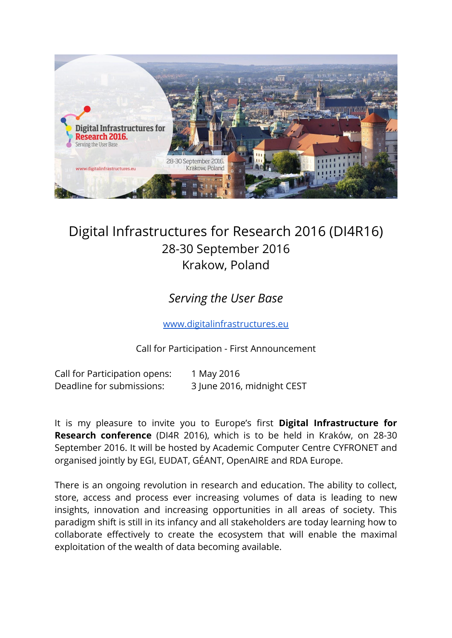

# Digital Infrastructures for Research 2016 (DI4R16) 28-30 September 2016 Krakow, Poland

## *Serving the User Base*

[www.digitalinfrastructures.eu](http://www.digitalinfrastructures.eu/)

Call for Participation - First Announcement

Call for Participation opens: 1 May 2016 Deadline for submissions: 3 June 2016, midnight CEST

It is my pleasure to invite you to Europe's first **Digital Infrastructure for Research conference** (DI4R 2016), which is to be held in Kraków, on 28-30 September 2016. It will be hosted by Academic Computer Centre CYFRONET and organised jointly by EGI, EUDAT, GÉANT, OpenAIRE and RDA Europe.

There is an ongoing revolution in research and education. The ability to collect, store, access and process ever increasing volumes of data is leading to new insights, innovation and increasing opportunities in all areas of society. This paradigm shift is still in its infancy and all stakeholders are today learning how to collaborate effectively to create the ecosystem that will enable the maximal exploitation of the wealth of data becoming available.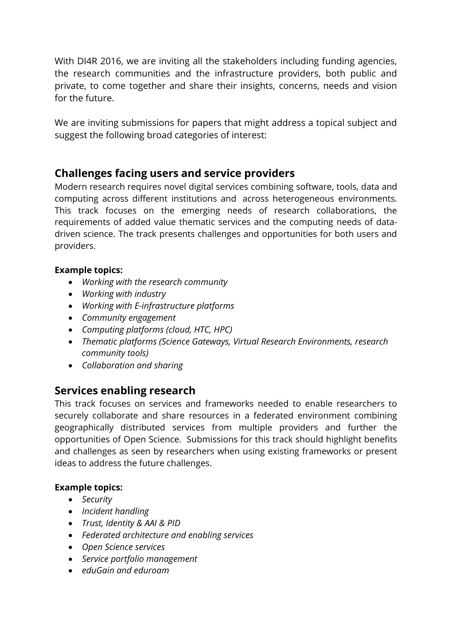With DI4R 2016, we are inviting all the stakeholders including funding agencies, the research communities and the infrastructure providers, both public and private, to come together and share their insights, concerns, needs and vision for the future.

We are inviting submissions for papers that might address a topical subject and suggest the following broad categories of interest:

### **Challenges facing users and service providers**

Modern research requires novel digital services combining software, tools, data and computing across different institutions and across heterogeneous environments. This track focuses on the emerging needs of research collaborations, the requirements of added value thematic services and the computing needs of datadriven science. The track presents challenges and opportunities for both users and providers.

#### **Example topics:**

- *Working with the research community*
- *Working with industry*
- *Working with E-infrastructure platforms*
- *Community engagement*
- *Computing platforms (cloud, HTC, HPC)*
- *Thematic platforms (Science Gateways, Virtual Research Environments, research community tools)*
- *Collaboration and sharing*

### **Services enabling research**

This track focuses on services and frameworks needed to enable researchers to securely collaborate and share resources in a federated environment combining geographically distributed services from multiple providers and further the opportunities of Open Science. Submissions for this track should highlight benefits and challenges as seen by researchers when using existing frameworks or present ideas to address the future challenges.

#### **Example topics:**

- *Security*
- *Incident handling*
- *Trust, Identity & AAI & PID*
- *Federated architecture and enabling services*
- *Open Science services*
- *Service portfolio management*
- *eduGain and eduroam*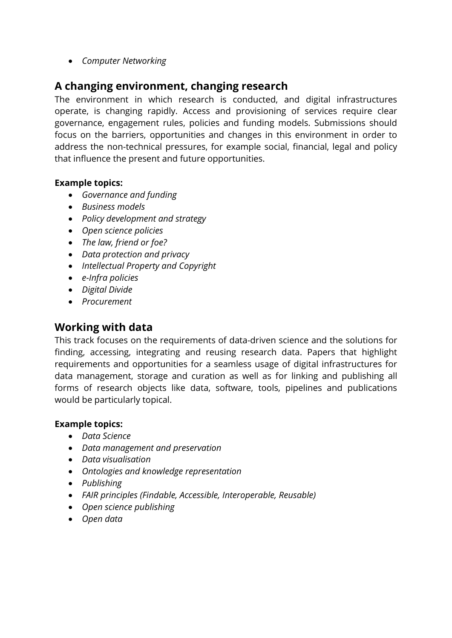*Computer Networking*

### **A changing environment, changing research**

The environment in which research is conducted, and digital infrastructures operate, is changing rapidly. Access and provisioning of services require clear governance, engagement rules, policies and funding models. Submissions should focus on the barriers, opportunities and changes in this environment in order to address the non-technical pressures, for example social, financial, legal and policy that influence the present and future opportunities.

#### **Example topics:**

- *Governance and funding*
- *Business models*
- *Policy development and strategy*
- *Open science policies*
- *The law, friend or foe?*
- *Data protection and privacy*
- *Intellectual Property and Copyright*
- *e-Infra policies*
- *Digital Divide*
- *Procurement*

### **Working with data**

This track focuses on the requirements of data-driven science and the solutions for finding, accessing, integrating and reusing research data. Papers that highlight requirements and opportunities for a seamless usage of digital infrastructures for data management, storage and curation as well as for linking and publishing all forms of research objects like data, software, tools, pipelines and publications would be particularly topical.

#### **Example topics:**

- *Data Science*
- *Data management and preservation*
- *Data visualisation*
- *Ontologies and knowledge representation*
- *Publishing*
- *FAIR principles (Findable, Accessible, Interoperable, Reusable)*
- *Open science publishing*
- *Open data*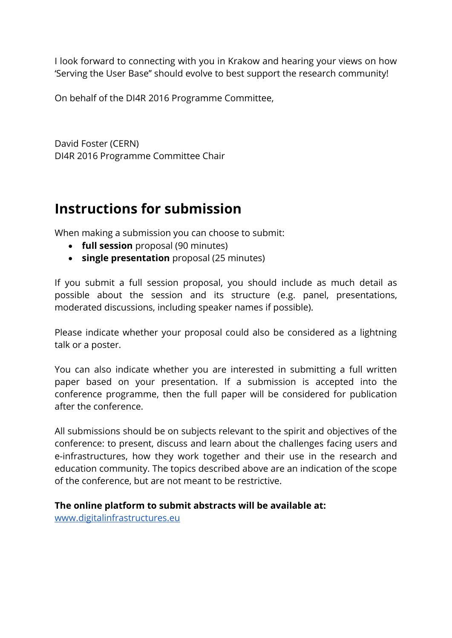I look forward to connecting with you in Krakow and hearing your views on how 'Serving the User Base'' should evolve to best support the research community!

On behalf of the DI4R 2016 Programme Committee,

David Foster (CERN) DI4R 2016 Programme Committee Chair

# **Instructions for submission**

When making a submission you can choose to submit:

- **full session** proposal (90 minutes)
- **single presentation** proposal (25 minutes)

If you submit a full session proposal, you should include as much detail as possible about the session and its structure (e.g. panel, presentations, moderated discussions, including speaker names if possible).

Please indicate whether your proposal could also be considered as a lightning talk or a poster.

You can also indicate whether you are interested in submitting a full written paper based on your presentation. If a submission is accepted into the conference programme, then the full paper will be considered for publication after the conference.

All submissions should be on subjects relevant to the spirit and objectives of the conference: to present, discuss and learn about the challenges facing users and e-infrastructures, how they work together and their use in the research and education community. The topics described above are an indication of the scope of the conference, but are not meant to be restrictive.

#### **The online platform to submit abstracts will be available at:**

[www.digitalinfrastructures.eu](http://www.digitalinfrastructures.eu/)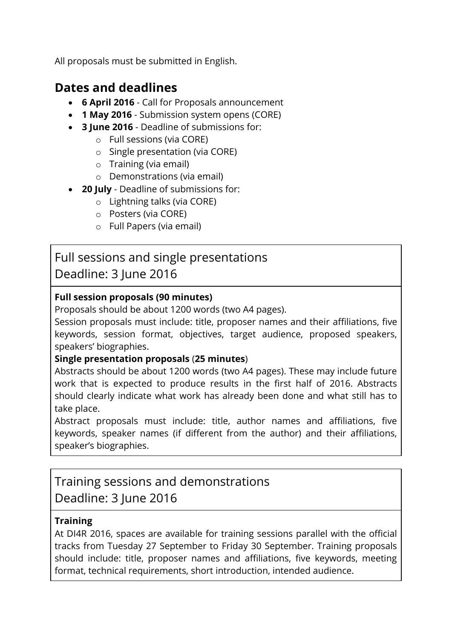All proposals must be submitted in English.

## **Dates and deadlines**

- **6 April 2016**  Call for Proposals announcement
- **1 May 2016**  Submission system opens (CORE)
- **3 June 2016**  Deadline of submissions for:
	- o Full sessions (via CORE)
	- o Single presentation (via CORE)
	- o Training (via email)
	- o Demonstrations (via email)
- **20 July**  Deadline of submissions for:
	- o Lightning talks (via CORE)
	- o Posters (via CORE)
	- o Full Papers (via email)

# Full sessions and single presentations Deadline: 3 June 2016

### **Full session proposals (90 minutes)**

Proposals should be about 1200 words (two A4 pages).

Session proposals must include: title, proposer names and their affiliations, five keywords, session format, objectives, target audience, proposed speakers, speakers' biographies.

#### **Single presentation proposals** (**25 minutes**)

Abstracts should be about 1200 words (two A4 pages). These may include future work that is expected to produce results in the first half of 2016. Abstracts should clearly indicate what work has already been done and what still has to take place.

Abstract proposals must include: title, author names and affiliations, five keywords, speaker names (if different from the author) and their affiliations, speaker's biographies.

# Training sessions and demonstrations Deadline: 3 June 2016

### **Training**

At DI4R 2016, spaces are available for training sessions parallel with the official tracks from Tuesday 27 September to Friday 30 September. Training proposals should include: title, proposer names and affiliations, five keywords, meeting format, technical requirements, short introduction, intended audience.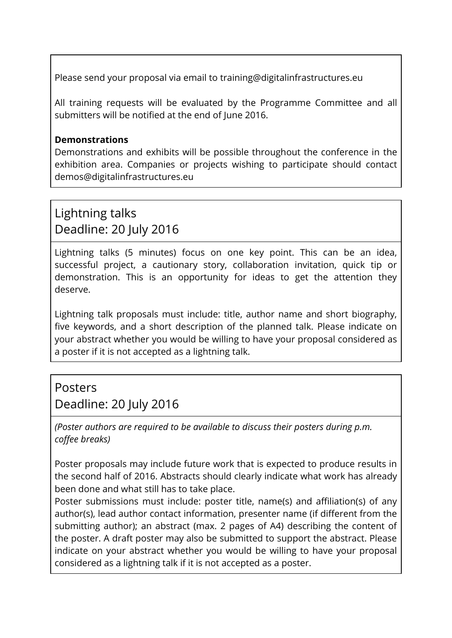Please send your proposal via email to training@digitalinfrastructures.eu

All training requests will be evaluated by the Programme Committee and all submitters will be notified at the end of June 2016.

### **Demonstrations**

Demonstrations and exhibits will be possible throughout the conference in the exhibition area. Companies or projects wishing to participate should contact demos@digitalinfrastructures.eu

## Lightning talks Deadline: 20 July 2016

Lightning talks (5 minutes) focus on one key point. This can be an idea, successful project, a cautionary story, collaboration invitation, quick tip or demonstration. This is an opportunity for ideas to get the attention they deserve.

Lightning talk proposals must include: title, author name and short biography, five keywords, and a short description of the planned talk. Please indicate on your abstract whether you would be willing to have your proposal considered as a poster if it is not accepted as a lightning talk.

### Posters

Deadline: 20 July 2016

*(Poster authors are required to be available to discuss their posters during p.m. coffee breaks)*

Poster proposals may include future work that is expected to produce results in the second half of 2016. Abstracts should clearly indicate what work has already been done and what still has to take place.

Poster submissions must include: poster title, name(s) and affiliation(s) of any author(s), lead author contact information, presenter name (if different from the submitting author); an abstract (max. 2 pages of A4) describing the content of the poster. A draft poster may also be submitted to support the abstract. Please indicate on your abstract whether you would be willing to have your proposal considered as a lightning talk if it is not accepted as a poster.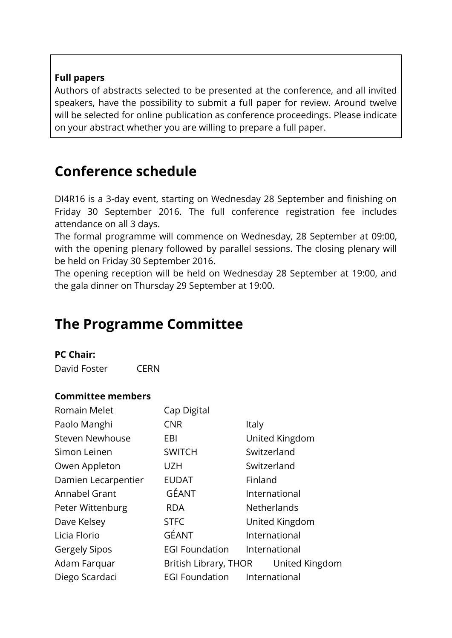### **Full papers**

Authors of abstracts selected to be presented at the conference, and all invited speakers, have the possibility to submit a full paper for review. Around twelve will be selected for online publication as conference proceedings. Please indicate on your abstract whether you are willing to prepare a full paper.

# **Conference schedule**

DI4R16 is a 3-day event, starting on Wednesday 28 September and finishing on Friday 30 September 2016. The full conference registration fee includes attendance on all 3 days.

The formal programme will commence on Wednesday, 28 September at 09:00, with the opening plenary followed by parallel sessions. The closing plenary will be held on Friday 30 September 2016.

The opening reception will be held on Wednesday 28 September at 19:00, and the gala dinner on Thursday 29 September at 19:00.

# **The Programme Committee**

#### **PC Chair:**

David Foster CERN

#### **Committee members**

| <b>Romain Melet</b>    | Cap Digital                             |                    |  |
|------------------------|-----------------------------------------|--------------------|--|
| Paolo Manghi           | <b>CNR</b>                              | Italy              |  |
| <b>Steven Newhouse</b> | EBI                                     | United Kingdom     |  |
| Simon Leinen           | <b>SWITCH</b>                           | Switzerland        |  |
| Owen Appleton          | <b>UZH</b>                              | Switzerland        |  |
| Damien Lecarpentier    | <b>EUDAT</b>                            | Finland            |  |
| Annabel Grant          | GÉANT                                   | International      |  |
| Peter Wittenburg       | <b>RDA</b>                              | <b>Netherlands</b> |  |
| Dave Kelsey            | <b>STFC</b>                             | United Kingdom     |  |
| Licia Florio           | GÉANT                                   | International      |  |
| <b>Gergely Sipos</b>   | <b>EGI Foundation</b>                   | International      |  |
| Adam Farquar           | British Library, THOR<br>United Kingdom |                    |  |
| Diego Scardaci         | <b>EGI Foundation</b>                   | International      |  |
|                        |                                         |                    |  |